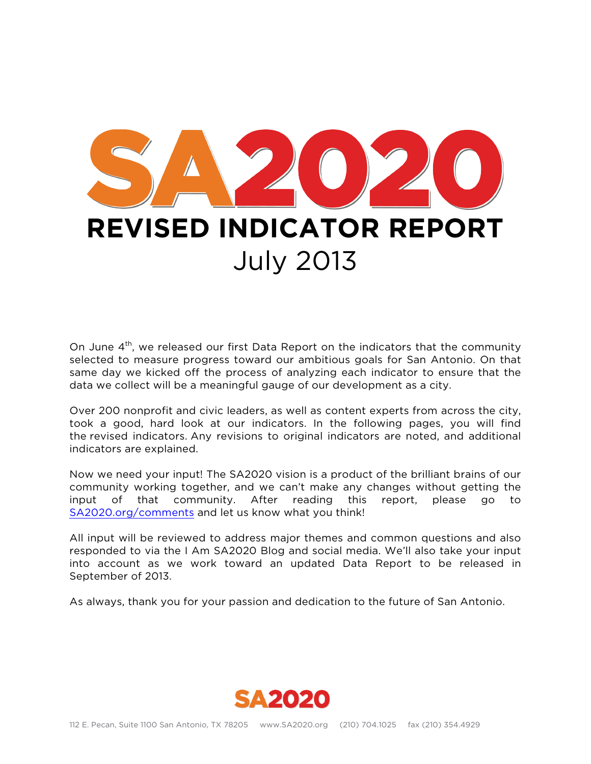

On June  $4<sup>th</sup>$ , we released our first Data Report on the indicators that the community selected to measure progress toward our ambitious goals for San Antonio. On that same day we kicked off the process of analyzing each indicator to ensure that the data we collect will be a meaningful gauge of our development as a city.

Over 200 nonprofit and civic leaders, as well as content experts from across the city, took a good, hard look at our indicators. In the following pages, you will find the revised indicators. Any revisions to original indicators are noted, and additional indicators are explained.

Now we need your input! The SA2020 vision is a product of the brilliant brains of our community working together, and we can't make any changes without getting the input of that community. After reading this report, please go to SA2020.org/comments and let us know what you think!

All input will be reviewed to address major themes and common questions and also responded to via the I Am SA2020 Blog and social media. We'll also take your input into account as we work toward an updated Data Report to be released in September of 2013.

As always, thank you for your passion and dedication to the future of San Antonio.

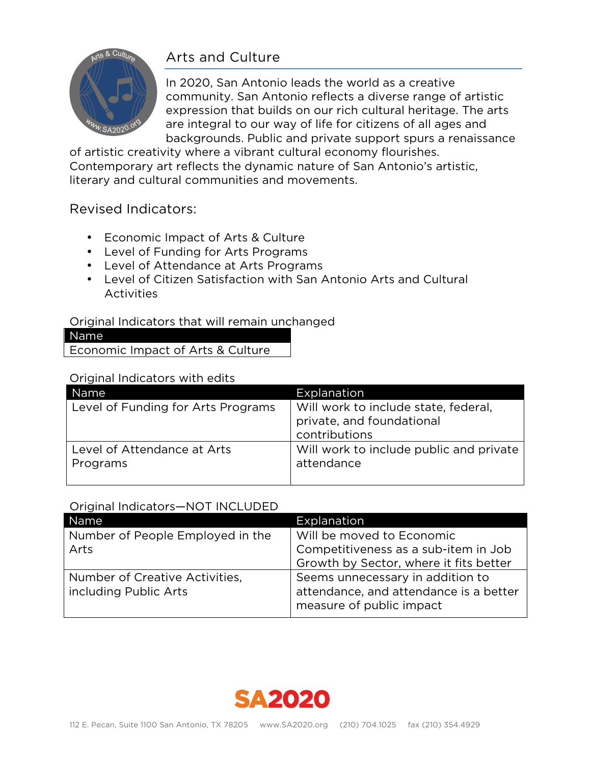# Arts and Culture



In 2020, San Antonio leads the world as a creative community. San Antonio reflects a diverse range of artistic expression that builds on our rich cultural heritage. The arts are integral to our way of life for citizens of all ages and backgrounds. Public and private support spurs a renaissance

of artistic creativity where a vibrant cultural economy flourishes. Contemporary art reflects the dynamic nature of San Antonio's artistic, literary and cultural communities and movements.

## Revised Indicators:

- Economic Impact of Arts & Culture
- Level of Funding for Arts Programs
- Level of Attendance at Arts Programs
- Level of Citizen Satisfaction with San Antonio Arts and Cultural Activities

#### Original Indicators that will remain unchanged

| Name <sup>1</sup>                 |  |
|-----------------------------------|--|
| Economic Impact of Arts & Culture |  |

#### Original Indicators with edits

| Name                               | Explanation                             |
|------------------------------------|-----------------------------------------|
| Level of Funding for Arts Programs | Will work to include state, federal,    |
|                                    | private, and foundational               |
|                                    | contributions                           |
| Level of Attendance at Arts        | Will work to include public and private |
| Programs                           | attendance                              |
|                                    |                                         |

#### Original Indicators—NOT INCLUDED

| Name                                                    | Explanation                                                                                            |
|---------------------------------------------------------|--------------------------------------------------------------------------------------------------------|
| Number of People Employed in the                        | Will be moved to Economic                                                                              |
| Arts                                                    | Competitiveness as a sub-item in Job                                                                   |
|                                                         | Growth by Sector, where it fits better                                                                 |
| Number of Creative Activities,<br>including Public Arts | Seems unnecessary in addition to<br>attendance, and attendance is a better<br>measure of public impact |

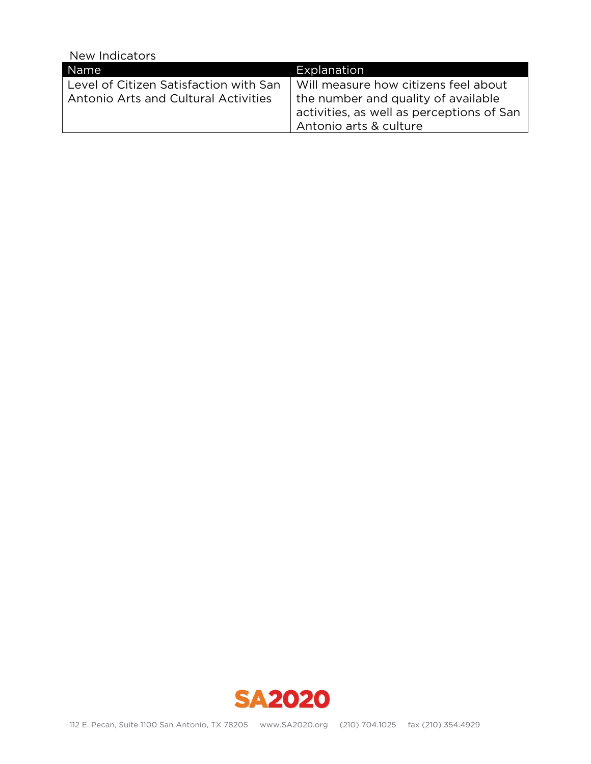| Name                                                                           | Explanation                                                                                                                                        |
|--------------------------------------------------------------------------------|----------------------------------------------------------------------------------------------------------------------------------------------------|
| Level of Citizen Satisfaction with San<br>Antonio Arts and Cultural Activities | Will measure how citizens feel about<br>the number and quality of available<br>activities, as well as perceptions of San<br>Antonio arts & culture |
|                                                                                |                                                                                                                                                    |

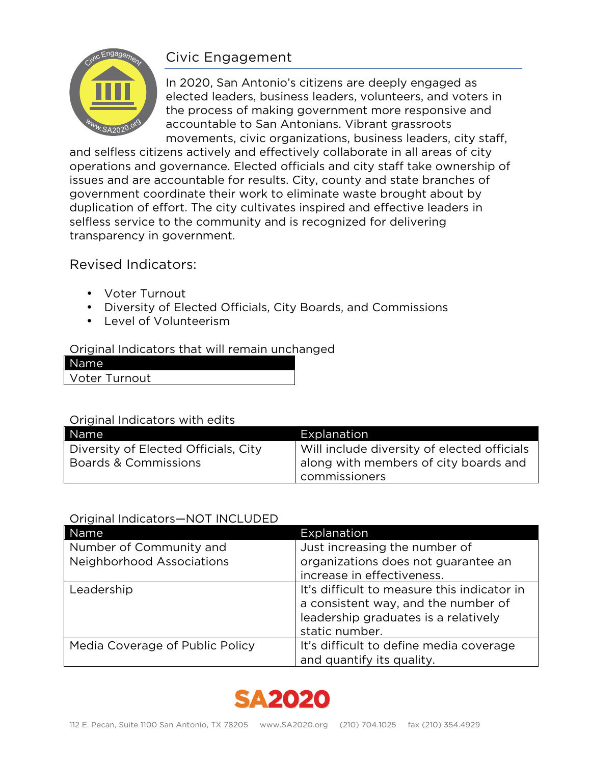## Civic Engagement



In 2020, San Antonio's citizens are deeply engaged as elected leaders, business leaders, volunteers, and voters in the process of making government more responsive and accountable to San Antonians. Vibrant grassroots movements, civic organizations, business leaders, city staff,

and selfless citizens actively and effectively collaborate in all areas of city operations and governance. Elected officials and city staff take ownership of issues and are accountable for results. City, county and state branches of government coordinate their work to eliminate waste brought about by duplication of effort. The city cultivates inspired and effective leaders in selfless service to the community and is recognized for delivering transparency in government.

## Revised Indicators:

- Voter Turnout
- Diversity of Elected Officials, City Boards, and Commissions
- Level of Volunteerism

### Original Indicators that will remain unchanged

| Name'                |  |
|----------------------|--|
| <b>Voter Turnout</b> |  |

#### Original Indicators with edits

| Name                                 | Explanation                                 |
|--------------------------------------|---------------------------------------------|
| Diversity of Elected Officials, City | Will include diversity of elected officials |
| Boards & Commissions                 | along with members of city boards and       |
|                                      | commissioners                               |

### Original Indicators—NOT INCLUDED

| Name                             | Explanation                                                                                                                                  |
|----------------------------------|----------------------------------------------------------------------------------------------------------------------------------------------|
| Number of Community and          | Just increasing the number of                                                                                                                |
| <b>Neighborhood Associations</b> | organizations does not guarantee an                                                                                                          |
|                                  | increase in effectiveness.                                                                                                                   |
| Leadership                       | It's difficult to measure this indicator in<br>a consistent way, and the number of<br>leadership graduates is a relatively<br>static number. |
| Media Coverage of Public Policy  | It's difficult to define media coverage<br>and quantify its quality.                                                                         |

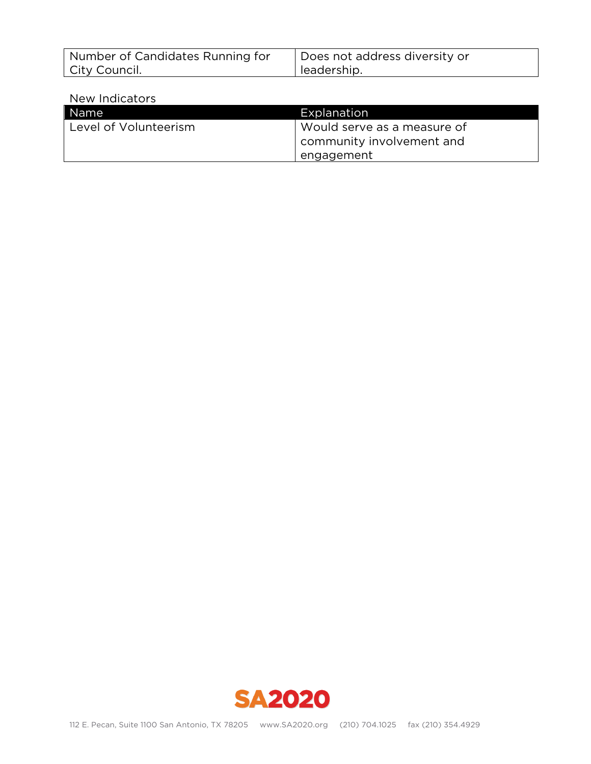| Number of Candidates Running for | Does not address diversity or |
|----------------------------------|-------------------------------|
| City Council.                    | leadership.                   |

| Name                  | Explanation                 |
|-----------------------|-----------------------------|
| Level of Volunteerism | Would serve as a measure of |
|                       | community involvement and   |
|                       | engagement                  |

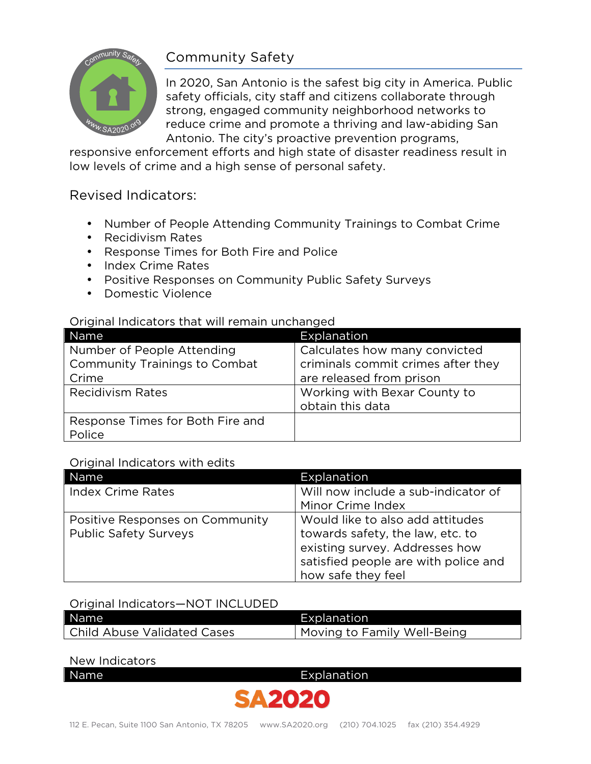

## Community Safety

In 2020, San Antonio is the safest big city in America. Public safety officials, city staff and citizens collaborate through strong, engaged community neighborhood networks to reduce crime and promote a thriving and law-abiding San Antonio. The city's proactive prevention programs,

responsive enforcement efforts and high state of disaster readiness result in low levels of crime and a high sense of personal safety.

## Revised Indicators:

- Number of People Attending Community Trainings to Combat Crime
- Recidivism Rates
- Response Times for Both Fire and Police
- Index Crime Rates
- Positive Responses on Community Public Safety Surveys
- Domestic Violence

#### Original Indicators that will remain unchanged

| Name                                 | Explanation                        |
|--------------------------------------|------------------------------------|
| Number of People Attending           | Calculates how many convicted      |
| <b>Community Trainings to Combat</b> | criminals commit crimes after they |
| Crime                                | are released from prison           |
| <b>Recidivism Rates</b>              | Working with Bexar County to       |
|                                      | obtain this data                   |
| Response Times for Both Fire and     |                                    |
| Police                               |                                    |

#### Original Indicators with edits

| Name                            | Explanation                          |
|---------------------------------|--------------------------------------|
| <b>Index Crime Rates</b>        | Will now include a sub-indicator of  |
|                                 | Minor Crime Index                    |
| Positive Responses on Community | Would like to also add attitudes     |
| <b>Public Safety Surveys</b>    | towards safety, the law, etc. to     |
|                                 | existing survey. Addresses how       |
|                                 | satisfied people are with police and |
|                                 | how safe they feel                   |

#### Original Indicators—NOT INCLUDED

| Name <sup>1</sup>             | Explanation                 |
|-------------------------------|-----------------------------|
| l Child Abuse Validated Cases | Moving to Family Well-Being |

| Name | Explanation |  |  |
|------|-------------|--|--|
|      |             |  |  |

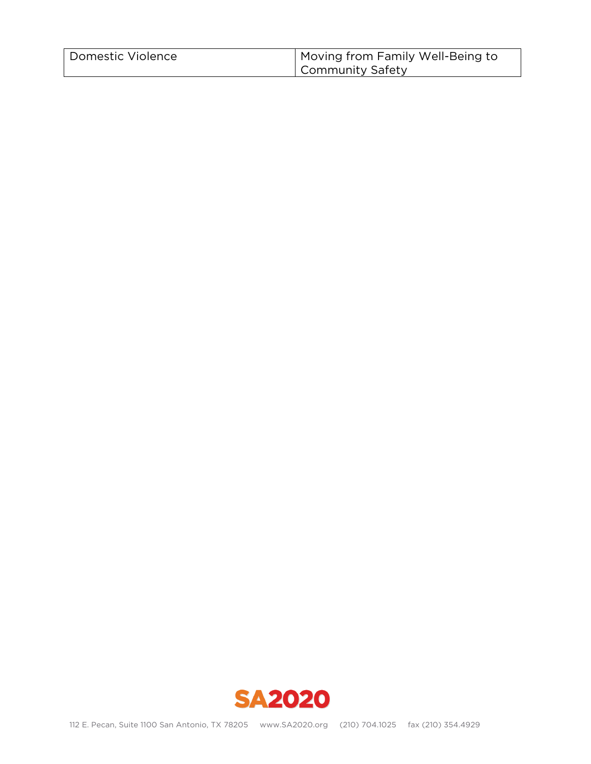| Domestic Violence | Moving from Family Well-Being to |
|-------------------|----------------------------------|
|                   | Community Safety                 |

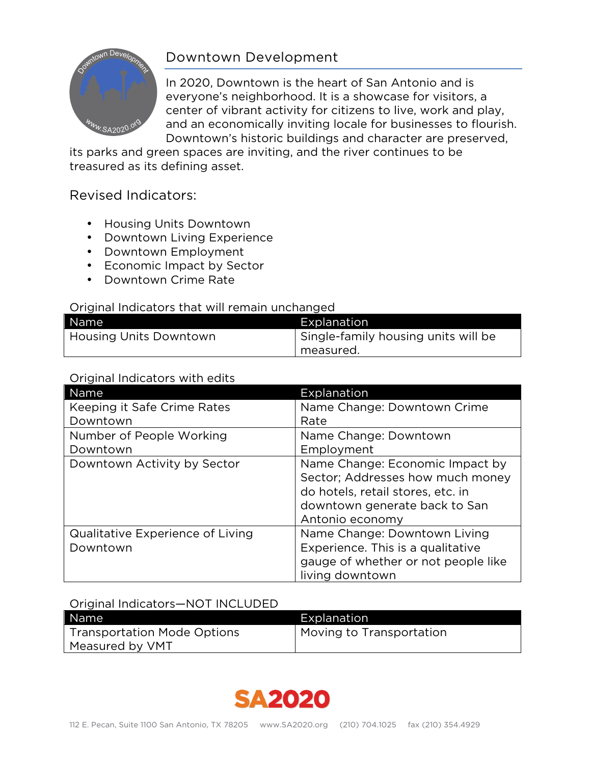

## Downtown Development

In 2020, Downtown is the heart of San Antonio and is everyone's neighborhood. It is a showcase for visitors, a center of vibrant activity for citizens to live, work and play, and an economically inviting locale for businesses to flourish. Downtown's historic buildings and character are preserved,

its parks and green spaces are inviting, and the river continues to be treasured as its defining asset.

## Revised Indicators:

- Housing Units Downtown
- Downtown Living Experience
- Downtown Employment
- Economic Impact by Sector
- Downtown Crime Rate

#### Original Indicators that will remain unchanged

| Name                   | Explanation                         |
|------------------------|-------------------------------------|
| Housing Units Downtown | Single-family housing units will be |
|                        | measured.                           |

#### Original Indicators with edits

| Name                             | Explanation                         |
|----------------------------------|-------------------------------------|
| Keeping it Safe Crime Rates      | Name Change: Downtown Crime         |
| Downtown                         | Rate                                |
| Number of People Working         | Name Change: Downtown               |
| Downtown                         | Employment                          |
| Downtown Activity by Sector      | Name Change: Economic Impact by     |
|                                  | Sector; Addresses how much money    |
|                                  | do hotels, retail stores, etc. in   |
|                                  | downtown generate back to San       |
|                                  | Antonio economy                     |
| Qualitative Experience of Living | Name Change: Downtown Living        |
| Downtown                         | Experience. This is a qualitative   |
|                                  | gauge of whether or not people like |
|                                  | living downtown                     |

#### Original Indicators—NOT INCLUDED

| Name                               | Explanation              |
|------------------------------------|--------------------------|
| <b>Transportation Mode Options</b> | Moving to Transportation |
| Measured by VMT                    |                          |

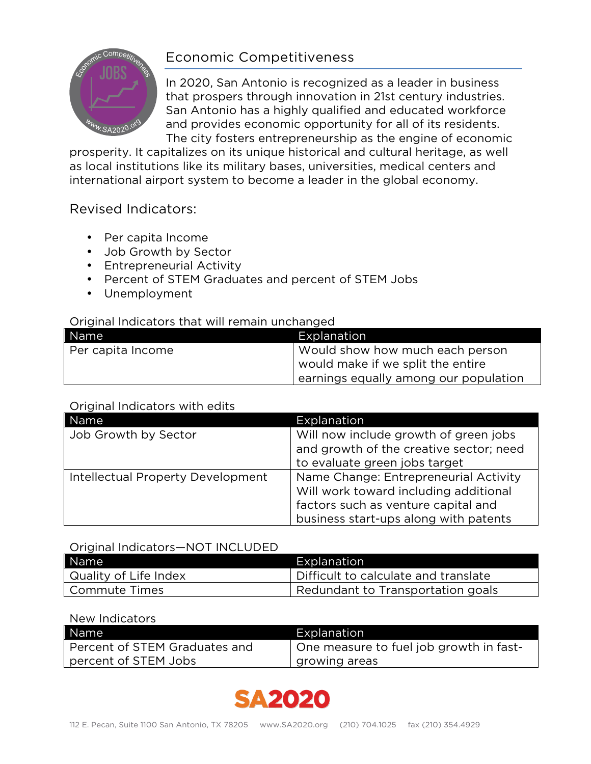

## Economic Competitiveness

In 2020, San Antonio is recognized as a leader in business that prospers through innovation in 21st century industries. San Antonio has a highly qualified and educated workforce and provides economic opportunity for all of its residents. The city fosters entrepreneurship as the engine of economic

prosperity. It capitalizes on its unique historical and cultural heritage, as well as local institutions like its military bases, universities, medical centers and international airport system to become a leader in the global economy.

## Revised Indicators:

- Per capita Income
- Job Growth by Sector
- Entrepreneurial Activity
- Percent of STEM Graduates and percent of STEM Jobs
- Unemployment

#### Original Indicators that will remain unchanged

| Name              | Explanation                           |
|-------------------|---------------------------------------|
| Per capita Income | Would show how much each person       |
|                   | would make if we split the entire     |
|                   | earnings equally among our population |

### Original Indicators with edits

| Name                              | <b>Explanation</b>                                                                                                                                             |
|-----------------------------------|----------------------------------------------------------------------------------------------------------------------------------------------------------------|
| Job Growth by Sector              | Will now include growth of green jobs<br>and growth of the creative sector; need<br>to evaluate green jobs target                                              |
| Intellectual Property Development | Name Change: Entrepreneurial Activity<br>Will work toward including additional<br>factors such as venture capital and<br>business start-ups along with patents |

#### Original Indicators—NOT INCLUDED

| Name                  | Explanation                          |
|-----------------------|--------------------------------------|
| Quality of Life Index | Difficult to calculate and translate |
| Commute Times         | Redundant to Transportation goals    |

| Name                          | Explanation                             |
|-------------------------------|-----------------------------------------|
| Percent of STEM Graduates and | One measure to fuel job growth in fast- |
| percent of STEM Jobs          | growing areas                           |

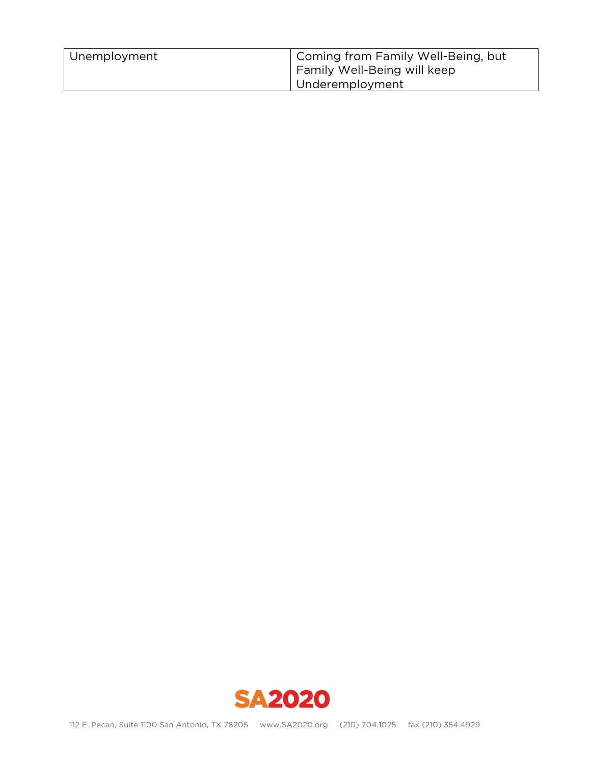| Unemployment | Coming from Family Well-Being, but<br>Family Well-Being will keep |
|--------------|-------------------------------------------------------------------|
|              | Underemployment                                                   |

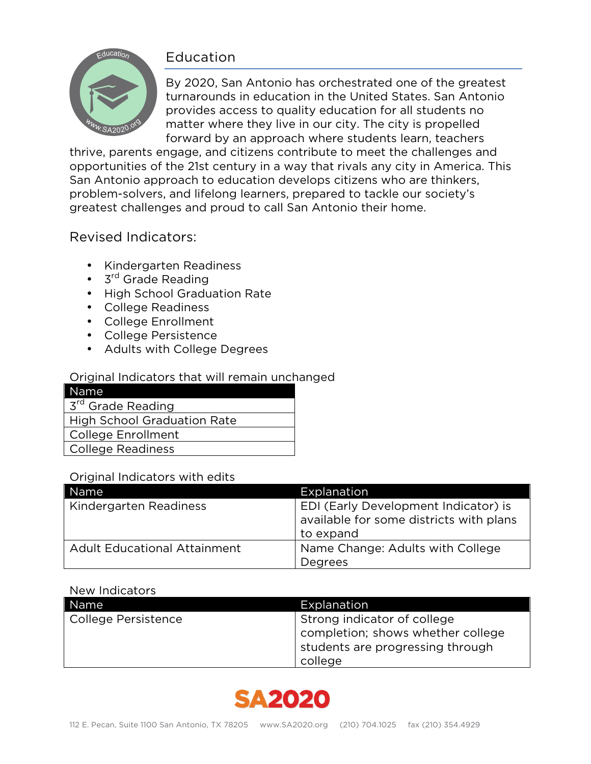## Education



By 2020, San Antonio has orchestrated one of the greatest turnarounds in education in the United States. San Antonio provides access to quality education for all students no matter where they live in our city. The city is propelled forward by an approach where students learn, teachers

thrive, parents engage, and citizens contribute to meet the challenges and opportunities of the 21st century in a way that rivals any city in America. This San Antonio approach to education develops citizens who are thinkers, problem-solvers, and lifelong learners, prepared to tackle our society's greatest challenges and proud to call San Antonio their home.

## Revised Indicators:

- Kindergarten Readiness
- 3<sup>rd</sup> Grade Reading
- High School Graduation Rate
- College Readiness
- College Enrollment
- College Persistence
- Adults with College Degrees

### Original Indicators that will remain unchanged

| Name                                     |
|------------------------------------------|
| $\overline{3}^{\text{rd}}$ Grade Reading |
| <b>High School Graduation Rate</b>       |
| <b>College Enrollment</b>                |
| <b>College Readiness</b>                 |

#### Original Indicators with edits

| Name                                | Explanation                                                                                  |
|-------------------------------------|----------------------------------------------------------------------------------------------|
| Kindergarten Readiness              | EDI (Early Development Indicator) is<br>available for some districts with plans<br>to expand |
| <b>Adult Educational Attainment</b> | Name Change: Adults with College<br>Degrees                                                  |

| Name                | Explanation                       |
|---------------------|-----------------------------------|
| College Persistence | Strong indicator of college       |
|                     | completion; shows whether college |
|                     | students are progressing through  |
|                     | college                           |

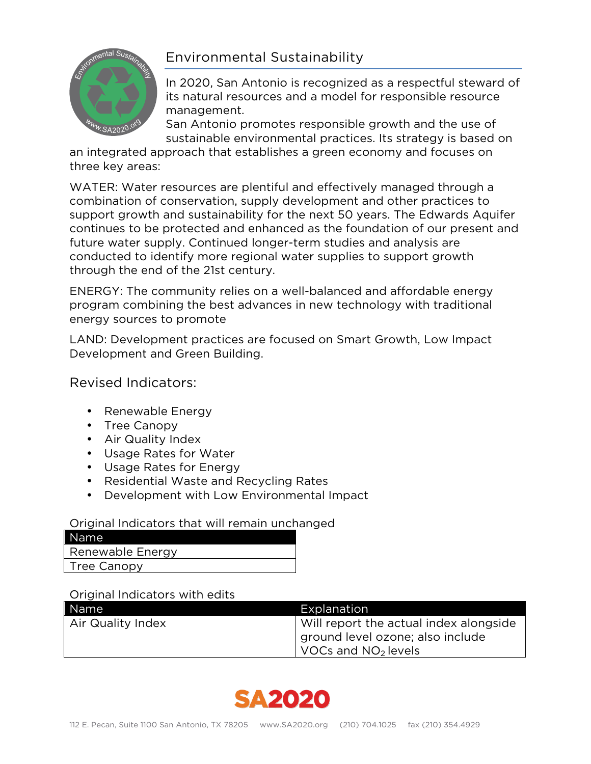



In 2020, San Antonio is recognized as a respectful steward of its natural resources and a model for responsible resource management.

San Antonio promotes responsible growth and the use of sustainable environmental practices. Its strategy is based on

an integrated approach that establishes a green economy and focuses on three key areas:

WATER: Water resources are plentiful and effectively managed through a combination of conservation, supply development and other practices to support growth and sustainability for the next 50 years. The Edwards Aquifer continues to be protected and enhanced as the foundation of our present and future water supply. Continued longer-term studies and analysis are conducted to identify more regional water supplies to support growth through the end of the 21st century.

ENERGY: The community relies on a well-balanced and affordable energy program combining the best advances in new technology with traditional energy sources to promote

LAND: Development practices are focused on Smart Growth, Low Impact Development and Green Building.

Revised Indicators:

- Renewable Energy
- Tree Canopy
- Air Quality Index
- Usage Rates for Water
- Usage Rates for Energy
- Residential Waste and Recycling Rates
- Development with Low Environmental Impact

### Original Indicators that will remain unchanged

| l Name           |  |
|------------------|--|
| Renewable Energy |  |
| Tree Canopy      |  |

### Original Indicators with edits

| Name              | Explanation                                 |
|-------------------|---------------------------------------------|
| Air Quality Index | Will report the actual index alongside      |
|                   | ground level ozone; also include            |
|                   | $\sqrt{10}$ VOCs and NO <sub>2</sub> levels |

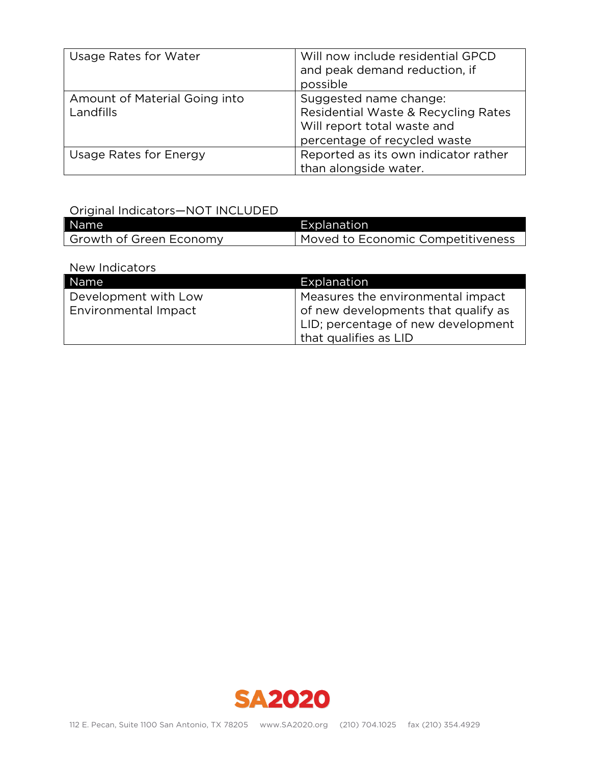| Usage Rates for Water                      | Will now include residential GPCD<br>and peak demand reduction, if<br>possible                                               |
|--------------------------------------------|------------------------------------------------------------------------------------------------------------------------------|
| Amount of Material Going into<br>Landfills | Suggested name change:<br>Residential Waste & Recycling Rates<br>Will report total waste and<br>percentage of recycled waste |
| Usage Rates for Energy                     | Reported as its own indicator rather<br>than alongside water.                                                                |

## Original Indicators—NOT INCLUDED

| Name                    | Explanation                       |
|-------------------------|-----------------------------------|
| Growth of Green Economy | Moved to Economic Competitiveness |

| Name                 | Explanation                         |
|----------------------|-------------------------------------|
| Development with Low | Measures the environmental impact   |
| Environmental Impact | of new developments that qualify as |
|                      | LID; percentage of new development  |
|                      | that qualifies as LID               |

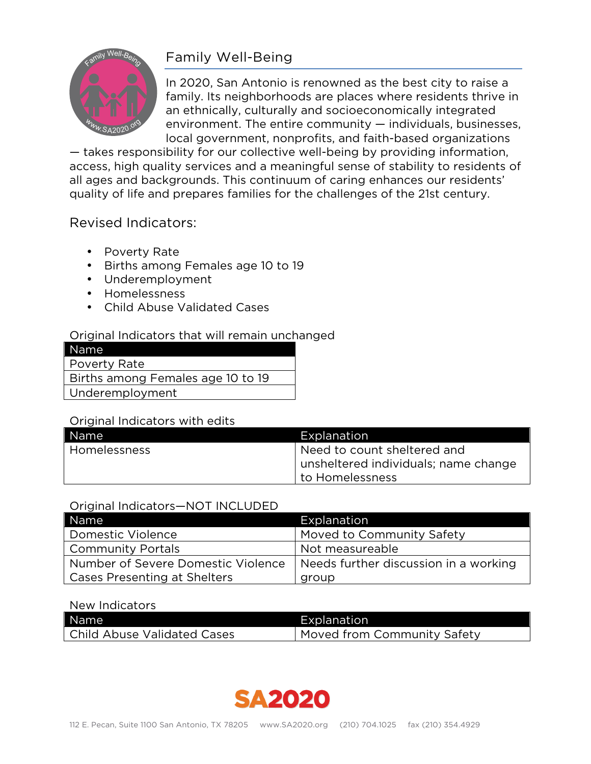

## Family Well-Being

In 2020, San Antonio is renowned as the best city to raise a family. Its neighborhoods are places where residents thrive in an ethnically, culturally and socioeconomically integrated environment. The entire community — individuals, businesses, local government, nonprofits, and faith-based organizations

— takes responsibility for our collective well-being by providing information, access, high quality services and a meaningful sense of stability to residents of all ages and backgrounds. This continuum of caring enhances our residents' quality of life and prepares families for the challenges of the 21st century.

## Revised Indicators:

- Poverty Rate
- Births among Females age 10 to 19
- Underemployment
- Homelessness
- Child Abuse Validated Cases

#### Original Indicators that will remain unchanged

#### Original Indicators with edits

| Name           | Explanation                          |
|----------------|--------------------------------------|
| l Homelessness | Need to count sheltered and          |
|                | unsheltered individuals; name change |
|                | l to Homelessness                    |

#### Original Indicators—NOT INCLUDED

| Name                               | Explanation                           |
|------------------------------------|---------------------------------------|
| Domestic Violence                  | Moved to Community Safety             |
| <b>Community Portals</b>           | Not measureable                       |
| Number of Severe Domestic Violence | Needs further discussion in a working |
| Cases Presenting at Shelters       | group                                 |

| Name                        | Explanation                 |
|-----------------------------|-----------------------------|
| Child Abuse Validated Cases | Moved from Community Safety |

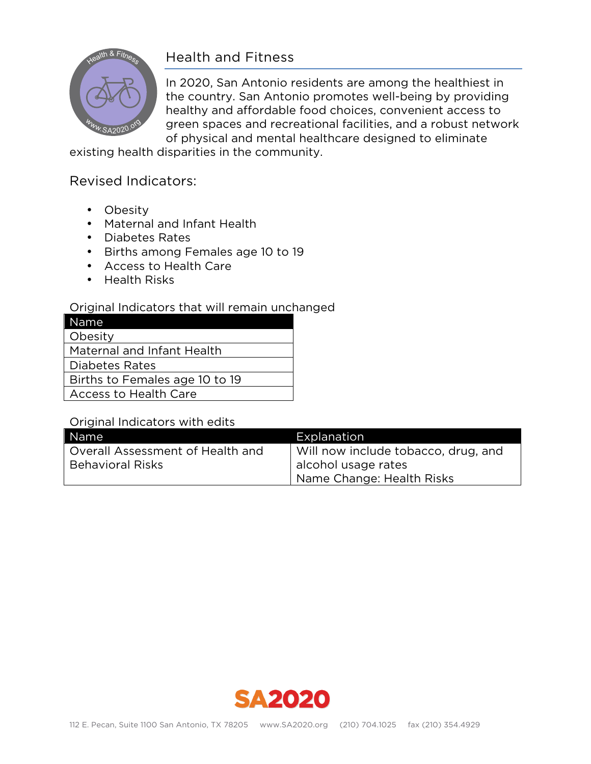

## Health and Fitness

In 2020, San Antonio residents are among the healthiest in the country. San Antonio promotes well-being by providing healthy and affordable food choices, convenient access to green spaces and recreational facilities, and a robust network of physical and mental healthcare designed to eliminate

existing health disparities in the community.

## Revised Indicators:

- Obesity
- Maternal and Infant Health
- Diabetes Rates
- Births among Females age 10 to 19
- Access to Health Care
- Health Risks

#### Original Indicators that will remain unchanged

| Name                           |
|--------------------------------|
| Obesity                        |
| Maternal and Infant Health     |
| Diabetes Rates                 |
| Births to Females age 10 to 19 |
| <b>Access to Health Care</b>   |

#### Original Indicators with edits

| Name                               | Explanation                         |
|------------------------------------|-------------------------------------|
| l Overall Assessment of Health and | Will now include tobacco, drug, and |
| <b>Behavioral Risks</b>            | alcohol usage rates                 |
|                                    | Name Change: Health Risks           |

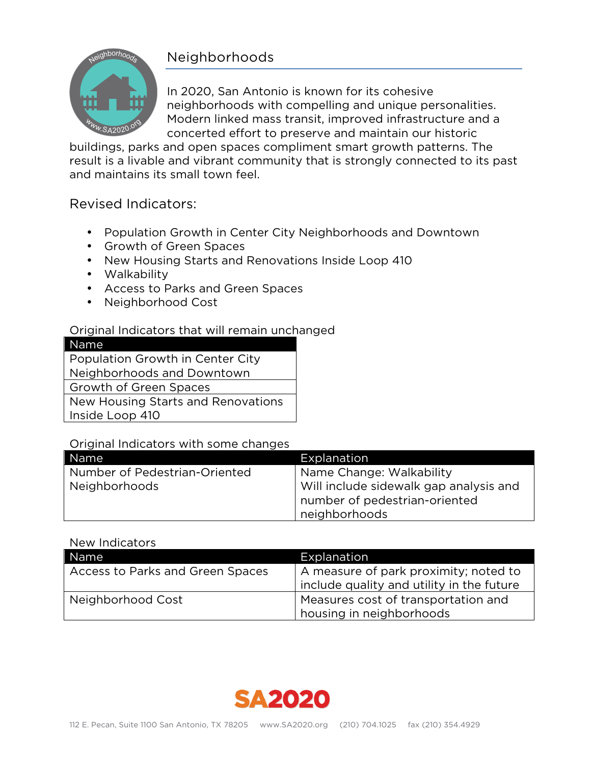## Neighborhoods



In 2020, San Antonio is known for its cohesive neighborhoods with compelling and unique personalities. Modern linked mass transit, improved infrastructure and a concerted effort to preserve and maintain our historic

buildings, parks and open spaces compliment smart growth patterns. The result is a livable and vibrant community that is strongly connected to its past and maintains its small town feel.

## Revised Indicators:

- Population Growth in Center City Neighborhoods and Downtown
- Growth of Green Spaces
- New Housing Starts and Renovations Inside Loop 410
- Walkability
- Access to Parks and Green Spaces
- Neighborhood Cost

## Original Indicators that will remain unchanged

| Name                               |
|------------------------------------|
| Population Growth in Center City   |
| Neighborhoods and Downtown         |
| Growth of Green Spaces             |
| New Housing Starts and Renovations |
| Inside Loop 410                    |
|                                    |

### Original Indicators with some changes

| Name <sup>1</sup>             | Explanation                            |
|-------------------------------|----------------------------------------|
| Number of Pedestrian-Oriented | Name Change: Walkability               |
| Neighborhoods                 | Will include sidewalk gap analysis and |
|                               | number of pedestrian-oriented          |
|                               | neighborhoods                          |

| Name                             | Explanation                               |
|----------------------------------|-------------------------------------------|
| Access to Parks and Green Spaces | A measure of park proximity; noted to     |
|                                  | include quality and utility in the future |
| Neighborhood Cost                | Measures cost of transportation and       |
|                                  | housing in neighborhoods                  |